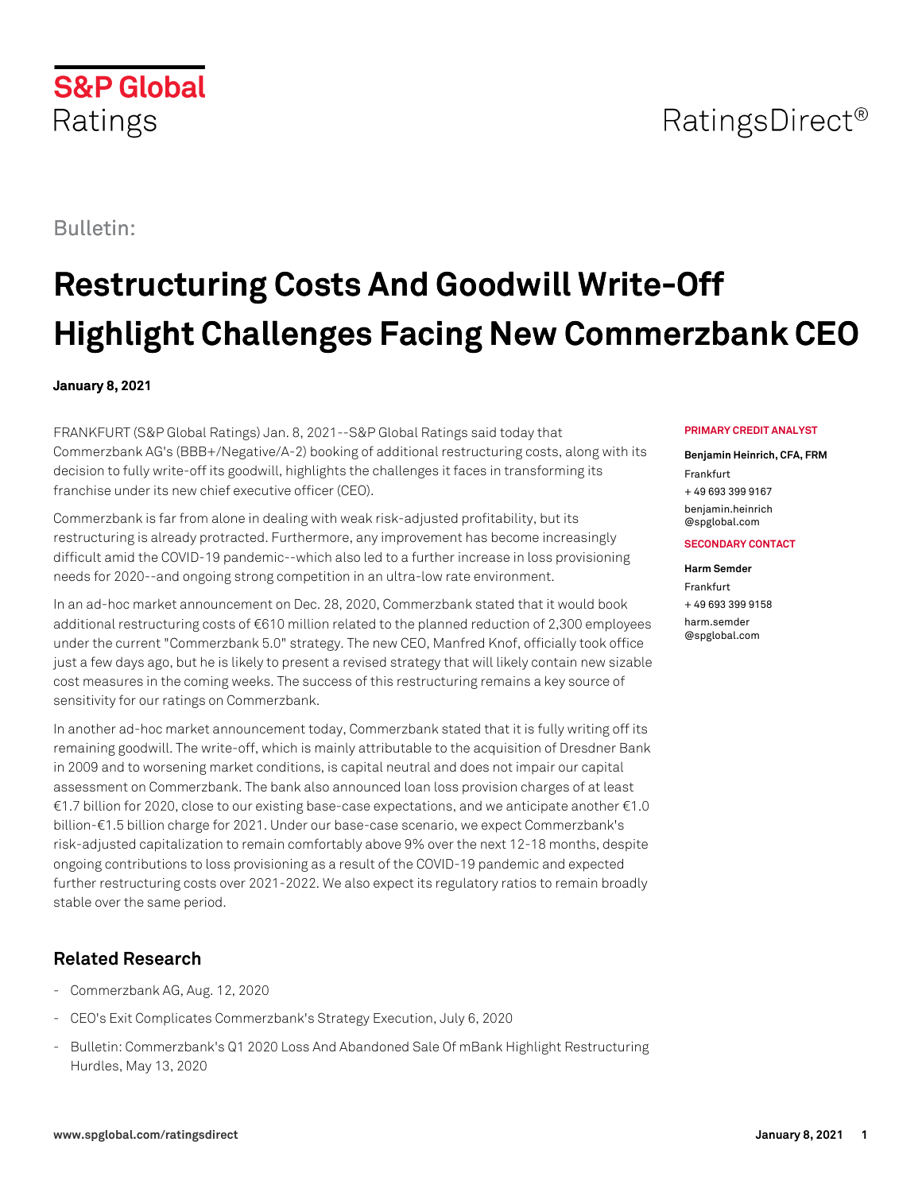## RatingsDirect<sup>®</sup>

Bulletin:

Ratings

**S&P Global** 

# **Restructuring Costs And Goodwill Write-Off Highlight Challenges Facing New Commerzbank CEO**

### **January 8, 2021**

FRANKFURT (S&P Global Ratings) Jan. 8, 2021--S&P Global Ratings said today that Commerzbank AG's (BBB+/Negative/A-2) booking of additional restructuring costs, along with its decision to fully write-off its goodwill, highlights the challenges it faces in transforming its franchise under its new chief executive officer (CEO).

Commerzbank is far from alone in dealing with weak risk-adjusted profitability, but its restructuring is already protracted. Furthermore, any improvement has become increasingly difficult amid the COVID-19 pandemic--which also led to a further increase in loss provisioning needs for 2020--and ongoing strong competition in an ultra-low rate environment.

In an ad-hoc market announcement on Dec. 28, 2020, Commerzbank stated that it would book additional restructuring costs of €610 million related to the planned reduction of 2,300 employees under the current "Commerzbank 5.0" strategy. The new CEO, Manfred Knof, officially took office just a few days ago, but he is likely to present a revised strategy that will likely contain new sizable cost measures in the coming weeks. The success of this restructuring remains a key source of sensitivity for our ratings on Commerzbank.

In another ad-hoc market announcement today, Commerzbank stated that it is fully writing off its remaining goodwill. The write-off, which is mainly attributable to the acquisition of Dresdner Bank in 2009 and to worsening market conditions, is capital neutral and does not impair our capital assessment on Commerzbank. The bank also announced loan loss provision charges of at least €1.7 billion for 2020, close to our existing base-case expectations, and we anticipate another €1.0 billion-€1.5 billion charge for 2021. Under our base-case scenario, we expect Commerzbank's risk-adjusted capitalization to remain comfortably above 9% over the next 12-18 months, despite ongoing contributions to loss provisioning as a result of the COVID-19 pandemic and expected further restructuring costs over 2021-2022. We also expect its regulatory ratios to remain broadly stable over the same period.

## **Related Research**

- Commerzbank AG, Aug. 12, 2020
- CEO's Exit Complicates Commerzbank's Strategy Execution, July 6, 2020
- Bulletin: Commerzbank's Q1 2020 Loss And Abandoned Sale Of mBank Highlight Restructuring Hurdles, May 13, 2020

#### **PRIMARY CREDIT ANALYST**

#### **Benjamin Heinrich, CFA, FRM** Frankfurt

+ 49 693 399 9167 [benjamin.heinrich](mailto: benjamin.heinrich@spglobal.com) [@spglobal.com](mailto: benjamin.heinrich@spglobal.com)

#### **SECONDARY CONTACT**

#### **Harm Semder**

Frankfurt + 49 693 399 9158 [harm.semder](mailto: harm.semder@spglobal.com) [@spglobal.com](mailto: harm.semder@spglobal.com)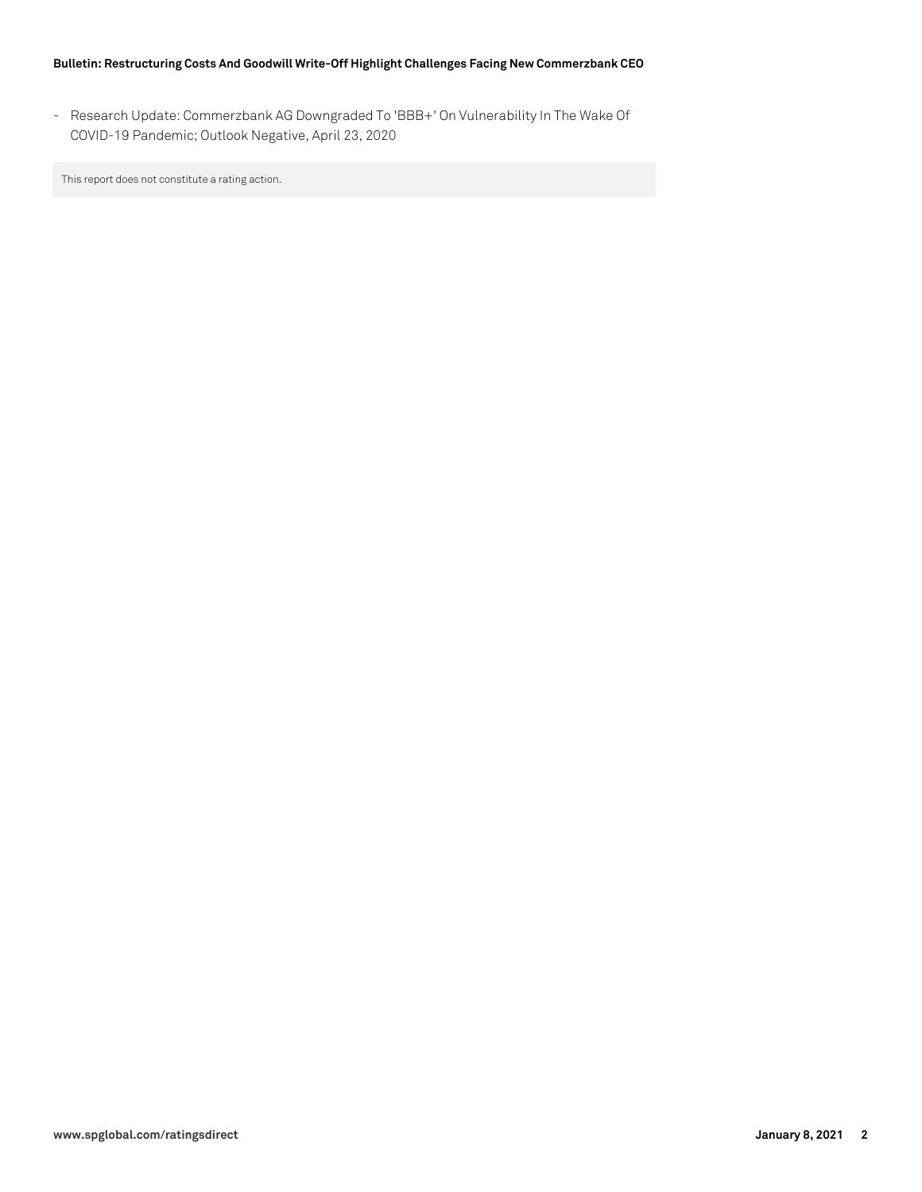#### **Bulletin: Restructuring Costs And Goodwill Write-Off Highlight Challenges Facing New Commerzbank CEO**

- Research Update: Commerzbank AG Downgraded To 'BBB+' On Vulnerability In The Wake Of COVID-19 Pandemic; Outlook Negative, April 23, 2020

This report does not constitute a rating action.